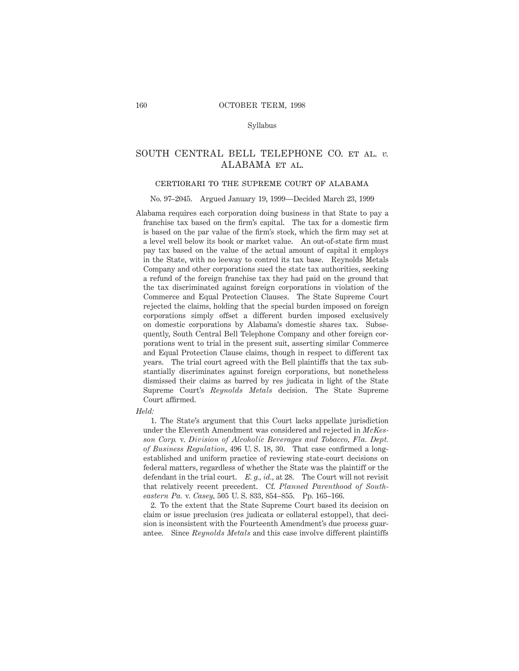### Syllabus

# SOUTH CENTRAL BELL TELEPHONE CO. et al. *v.* ALABAMA et al.

### certiorari to the supreme court of alabama

#### No. 97–2045. Argued January 19, 1999—Decided March 23, 1999

Alabama requires each corporation doing business in that State to pay a franchise tax based on the firm's capital. The tax for a domestic firm is based on the par value of the firm's stock, which the firm may set at a level well below its book or market value. An out-of-state firm must pay tax based on the value of the actual amount of capital it employs in the State, with no leeway to control its tax base. Reynolds Metals Company and other corporations sued the state tax authorities, seeking a refund of the foreign franchise tax they had paid on the ground that the tax discriminated against foreign corporations in violation of the Commerce and Equal Protection Clauses. The State Supreme Court rejected the claims, holding that the special burden imposed on foreign corporations simply offset a different burden imposed exclusively on domestic corporations by Alabama's domestic shares tax. Subsequently, South Central Bell Telephone Company and other foreign corporations went to trial in the present suit, asserting similar Commerce and Equal Protection Clause claims, though in respect to different tax years. The trial court agreed with the Bell plaintiffs that the tax substantially discriminates against foreign corporations, but nonetheless dismissed their claims as barred by res judicata in light of the State Supreme Court's *Reynolds Metals* decision. The State Supreme Court affirmed.

#### *Held:*

1. The State's argument that this Court lacks appellate jurisdiction under the Eleventh Amendment was considered and rejected in *McKesson Corp.* v. *Division of Alcoholic Beverages and Tobacco, Fla. Dept. of Business Regulation,* 496 U. S. 18, 30. That case confirmed a longestablished and uniform practice of reviewing state-court decisions on federal matters, regardless of whether the State was the plaintiff or the defendant in the trial court. *E. g., id.,* at 28. The Court will not revisit that relatively recent precedent. Cf. *Planned Parenthood of Southeastern Pa.* v. *Casey,* 505 U. S. 833, 854–855. Pp. 165–166.

2. To the extent that the State Supreme Court based its decision on claim or issue preclusion (res judicata or collateral estoppel), that decision is inconsistent with the Fourteenth Amendment's due process guarantee. Since *Reynolds Metals* and this case involve different plaintiffs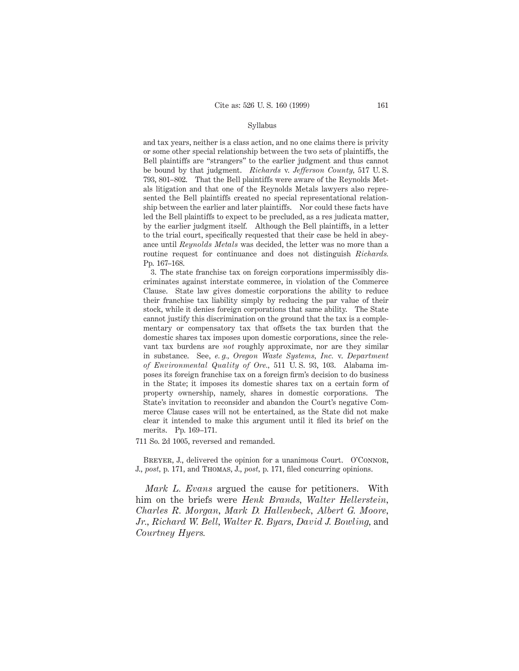### Syllabus

and tax years, neither is a class action, and no one claims there is privity or some other special relationship between the two sets of plaintiffs, the Bell plaintiffs are "strangers" to the earlier judgment and thus cannot be bound by that judgment. *Richards* v. *Jefferson County,* 517 U. S. 793, 801–802. That the Bell plaintiffs were aware of the Reynolds Metals litigation and that one of the Reynolds Metals lawyers also represented the Bell plaintiffs created no special representational relationship between the earlier and later plaintiffs. Nor could these facts have led the Bell plaintiffs to expect to be precluded, as a res judicata matter, by the earlier judgment itself. Although the Bell plaintiffs, in a letter to the trial court, specifically requested that their case be held in abeyance until *Reynolds Metals* was decided, the letter was no more than a routine request for continuance and does not distinguish *Richards.* Pp. 167–168.

3. The state franchise tax on foreign corporations impermissibly discriminates against interstate commerce, in violation of the Commerce Clause. State law gives domestic corporations the ability to reduce their franchise tax liability simply by reducing the par value of their stock, while it denies foreign corporations that same ability. The State cannot justify this discrimination on the ground that the tax is a complementary or compensatory tax that offsets the tax burden that the domestic shares tax imposes upon domestic corporations, since the relevant tax burdens are *not* roughly approximate, nor are they similar in substance. See, *e. g., Oregon Waste Systems, Inc.* v. *Department of Environmental Quality of Ore.,* 511 U. S. 93, 103. Alabama imposes its foreign franchise tax on a foreign firm's decision to do business in the State; it imposes its domestic shares tax on a certain form of property ownership, namely, shares in domestic corporations. The State's invitation to reconsider and abandon the Court's negative Commerce Clause cases will not be entertained, as the State did not make clear it intended to make this argument until it filed its brief on the merits. Pp. 169–171.

711 So. 2d 1005, reversed and remanded.

BREYER, J., delivered the opinion for a unanimous Court. O'CONNOR, J., *post,* p. 171, and Thomas, J., *post,* p. 171, filed concurring opinions.

*Mark L. Evans* argued the cause for petitioners. With him on the briefs were *Henk Brands, Walter Hellerstein, Charles R. Morgan, Mark D. Hallenbeck, Albert G. Moore, Jr., Richard W. Bell, Walter R. Byars, David J. Bowling,* and *Courtney Hyers.*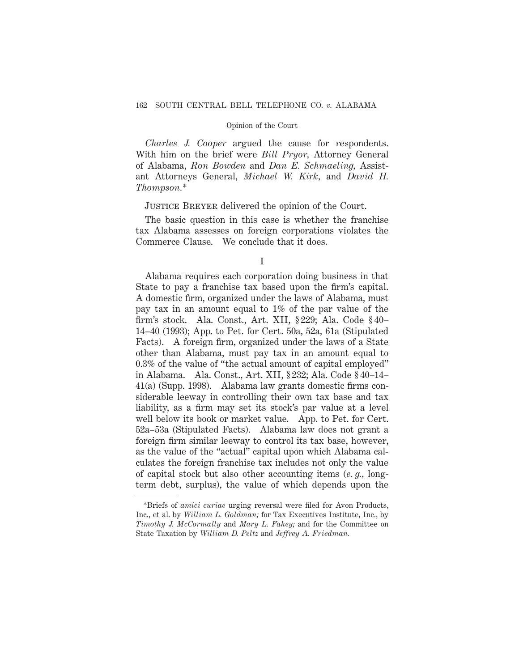*Charles J. Cooper* argued the cause for respondents. With him on the brief were *Bill Pryor,* Attorney General of Alabama, *Ron Bowden* and *Dan E. Schmaeling,* Assistant Attorneys General, *Michael W. Kirk,* and *David H. Thompson.*\*

# Justice Breyer delivered the opinion of the Court.

The basic question in this case is whether the franchise tax Alabama assesses on foreign corporations violates the Commerce Clause. We conclude that it does.

Alabama requires each corporation doing business in that State to pay a franchise tax based upon the firm's capital. A domestic firm, organized under the laws of Alabama, must pay tax in an amount equal to 1% of the par value of the firm's stock. Ala. Const., Art. XII, § 229; Ala. Code § 40– 14–40 (1993); App. to Pet. for Cert. 50a, 52a, 61a (Stipulated Facts). A foreign firm, organized under the laws of a State other than Alabama, must pay tax in an amount equal to 0.3% of the value of "the actual amount of capital employed" in Alabama. Ala. Const., Art. XII, § 232; Ala. Code § 40–14– 41(a) (Supp. 1998). Alabama law grants domestic firms considerable leeway in controlling their own tax base and tax liability, as a firm may set its stock's par value at a level well below its book or market value. App. to Pet. for Cert. 52a–53a (Stipulated Facts). Alabama law does not grant a foreign firm similar leeway to control its tax base, however, as the value of the "actual" capital upon which Alabama calculates the foreign franchise tax includes not only the value of capital stock but also other accounting items (*e. g.,* longterm debt, surplus), the value of which depends upon the

I

<sup>\*</sup>Briefs of *amici curiae* urging reversal were filed for Avon Products, Inc., et al. by *William L. Goldman;* for Tax Executives Institute, Inc., by *Timothy J. McCormally* and *Mary L. Fahey;* and for the Committee on State Taxation by *William D. Peltz* and *Jeffrey A. Friedman.*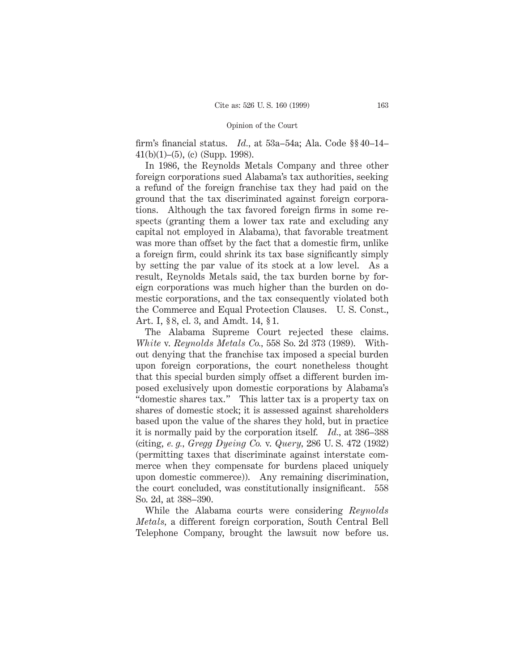firm's financial status. *Id.,* at 53a–54a; Ala. Code §§ 40–14– 41(b)(1)–(5), (c) (Supp. 1998).

In 1986, the Reynolds Metals Company and three other foreign corporations sued Alabama's tax authorities, seeking a refund of the foreign franchise tax they had paid on the ground that the tax discriminated against foreign corporations. Although the tax favored foreign firms in some respects (granting them a lower tax rate and excluding any capital not employed in Alabama), that favorable treatment was more than offset by the fact that a domestic firm, unlike a foreign firm, could shrink its tax base significantly simply by setting the par value of its stock at a low level. As a result, Reynolds Metals said, the tax burden borne by foreign corporations was much higher than the burden on domestic corporations, and the tax consequently violated both the Commerce and Equal Protection Clauses. U. S. Const., Art. I, § 8, cl. 3, and Amdt. 14, § 1.

The Alabama Supreme Court rejected these claims. *White* v. *Reynolds Metals Co.,* 558 So. 2d 373 (1989). Without denying that the franchise tax imposed a special burden upon foreign corporations, the court nonetheless thought that this special burden simply offset a different burden imposed exclusively upon domestic corporations by Alabama's "domestic shares tax." This latter tax is a property tax on shares of domestic stock; it is assessed against shareholders based upon the value of the shares they hold, but in practice it is normally paid by the corporation itself. *Id.,* at 386–388 (citing, *e. g., Gregg Dyeing Co.* v. *Query,* 286 U. S. 472 (1932) (permitting taxes that discriminate against interstate commerce when they compensate for burdens placed uniquely upon domestic commerce)). Any remaining discrimination, the court concluded, was constitutionally insignificant. 558 So. 2d, at 388–390.

While the Alabama courts were considering *Reynolds Metals,* a different foreign corporation, South Central Bell Telephone Company, brought the lawsuit now before us.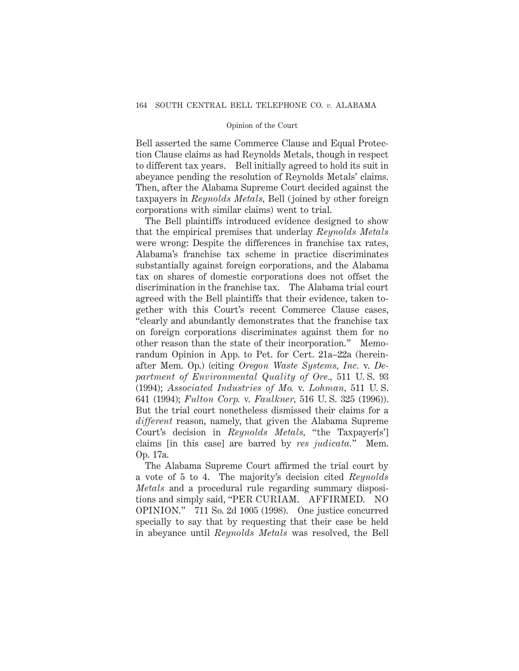Bell asserted the same Commerce Clause and Equal Protection Clause claims as had Reynolds Metals, though in respect to different tax years. Bell initially agreed to hold its suit in abeyance pending the resolution of Reynolds Metals' claims. Then, after the Alabama Supreme Court decided against the taxpayers in *Reynolds Metals,* Bell (joined by other foreign corporations with similar claims) went to trial.

The Bell plaintiffs introduced evidence designed to show that the empirical premises that underlay *Reynolds Metals* were wrong: Despite the differences in franchise tax rates, Alabama's franchise tax scheme in practice discriminates substantially against foreign corporations, and the Alabama tax on shares of domestic corporations does not offset the discrimination in the franchise tax. The Alabama trial court agreed with the Bell plaintiffs that their evidence, taken together with this Court's recent Commerce Clause cases, "clearly and abundantly demonstrates that the franchise tax on foreign corporations discriminates against them for no other reason than the state of their incorporation." Memorandum Opinion in App. to Pet. for Cert. 21a–22a (hereinafter Mem. Op.) (citing *Oregon Waste Systems, Inc.* v. *Department of Environmental Quality of Ore.,* 511 U. S. 93 (1994); *Associated Industries of Mo.* v. *Lohman,* 511 U. S. 641 (1994); *Fulton Corp.* v. *Faulkner,* 516 U. S. 325 (1996)). But the trial court nonetheless dismissed their claims for a *different* reason, namely, that given the Alabama Supreme Court's decision in *Reynolds Metals,* "the Taxpayer[s'] claims [in this case] are barred by *res judicata.*" Mem. Op. 17a.

The Alabama Supreme Court affirmed the trial court by a vote of 5 to 4. The majority's decision cited *Reynolds Metals* and a procedural rule regarding summary dispositions and simply said, "PER CURIAM. AFFIRMED. NO OPINION." 711 So. 2d 1005 (1998). One justice concurred specially to say that by requesting that their case be held in abeyance until *Reynolds Metals* was resolved, the Bell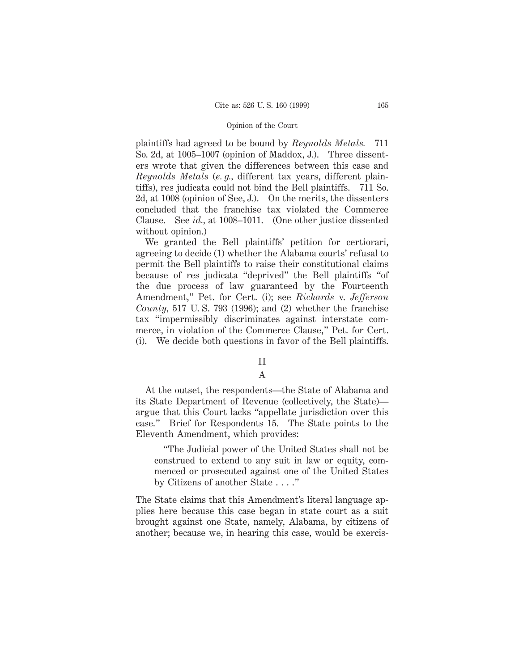plaintiffs had agreed to be bound by *Reynolds Metals.* 711 So. 2d, at 1005–1007 (opinion of Maddox, J.). Three dissenters wrote that given the differences between this case and *Reynolds Metals* (*e. g.,* different tax years, different plaintiffs), res judicata could not bind the Bell plaintiffs. 711 So. 2d, at 1008 (opinion of See, J.). On the merits, the dissenters concluded that the franchise tax violated the Commerce Clause. See *id.,* at 1008–1011. (One other justice dissented without opinion.)

We granted the Bell plaintiffs' petition for certiorari, agreeing to decide (1) whether the Alabama courts' refusal to permit the Bell plaintiffs to raise their constitutional claims because of res judicata "deprived" the Bell plaintiffs "of the due process of law guaranteed by the Fourteenth Amendment," Pet. for Cert. (i); see *Richards* v. *Jefferson County,* 517 U. S. 793 (1996); and (2) whether the franchise tax "impermissibly discriminates against interstate commerce, in violation of the Commerce Clause," Pet. for Cert. (i). We decide both questions in favor of the Bell plaintiffs.

# II

# A

At the outset, the respondents—the State of Alabama and its State Department of Revenue (collectively, the State) argue that this Court lacks "appellate jurisdiction over this case." Brief for Respondents 15. The State points to the Eleventh Amendment, which provides:

"The Judicial power of the United States shall not be construed to extend to any suit in law or equity, commenced or prosecuted against one of the United States by Citizens of another State . . . ."

The State claims that this Amendment's literal language applies here because this case began in state court as a suit brought against one State, namely, Alabama, by citizens of another; because we, in hearing this case, would be exercis-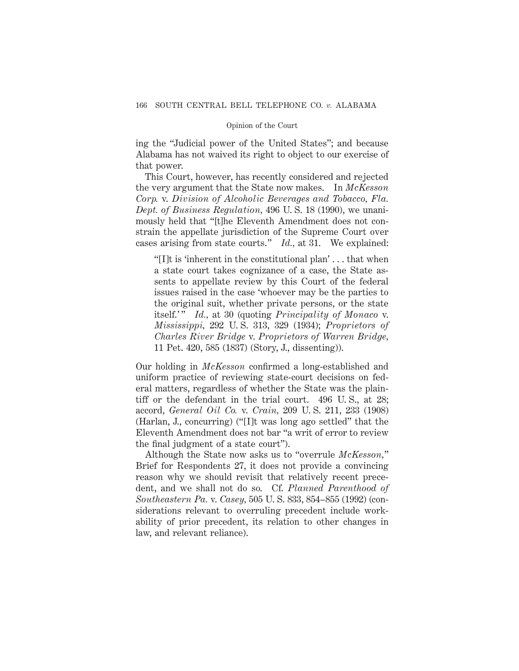ing the "Judicial power of the United States"; and because Alabama has not waived its right to object to our exercise of that power.

This Court, however, has recently considered and rejected the very argument that the State now makes. In *McKesson Corp.* v. *Division of Alcoholic Beverages and Tobacco, Fla. Dept. of Business Regulation,* 496 U. S. 18 (1990), we unanimously held that "[t]he Eleventh Amendment does not constrain the appellate jurisdiction of the Supreme Court over cases arising from state courts." *Id.,* at 31. We explained:

"[I]t is 'inherent in the constitutional plan' . . . that when a state court takes cognizance of a case, the State assents to appellate review by this Court of the federal issues raised in the case 'whoever may be the parties to the original suit, whether private persons, or the state itself.'" *Id.*, at 30 (quoting *Principality of Monaco* v. *Mississippi,* 292 U. S. 313, 329 (1934); *Proprietors of Charles River Bridge* v. *Proprietors of Warren Bridge,* 11 Pet. 420, 585 (1837) (Story, J., dissenting)).

Our holding in *McKesson* confirmed a long-established and uniform practice of reviewing state-court decisions on federal matters, regardless of whether the State was the plaintiff or the defendant in the trial court. 496 U. S., at 28; accord, *General Oil Co.* v. *Crain,* 209 U. S. 211, 233 (1908) (Harlan, J., concurring) ("[I]t was long ago settled" that the Eleventh Amendment does not bar "a writ of error to review the final judgment of a state court").

Although the State now asks us to "overrule *McKesson,*" Brief for Respondents 27, it does not provide a convincing reason why we should revisit that relatively recent precedent, and we shall not do so. Cf. *Planned Parenthood of Southeastern Pa.* v. *Casey,* 505 U. S. 833, 854–855 (1992) (considerations relevant to overruling precedent include workability of prior precedent, its relation to other changes in law, and relevant reliance).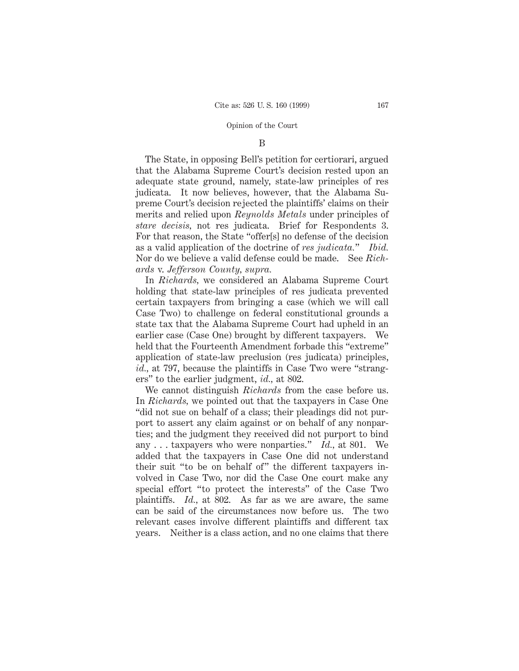### B

The State, in opposing Bell's petition for certiorari, argued that the Alabama Supreme Court's decision rested upon an adequate state ground, namely, state-law principles of res judicata. It now believes, however, that the Alabama Supreme Court's decision rejected the plaintiffs' claims on their merits and relied upon *Reynolds Metals* under principles of *stare decisis,* not res judicata. Brief for Respondents 3. For that reason, the State "offer[s] no defense of the decision as a valid application of the doctrine of *res judicata.*" *Ibid.* Nor do we believe a valid defense could be made. See *Richards* v. *Jefferson County, supra.*

In *Richards,* we considered an Alabama Supreme Court holding that state-law principles of res judicata prevented certain taxpayers from bringing a case (which we will call Case Two) to challenge on federal constitutional grounds a state tax that the Alabama Supreme Court had upheld in an earlier case (Case One) brought by different taxpayers. We held that the Fourteenth Amendment forbade this "extreme" application of state-law preclusion (res judicata) principles, *id.,* at 797, because the plaintiffs in Case Two were "strangers" to the earlier judgment, *id.,* at 802.

We cannot distinguish *Richards* from the case before us. In *Richards,* we pointed out that the taxpayers in Case One "did not sue on behalf of a class; their pleadings did not purport to assert any claim against or on behalf of any nonparties; and the judgment they received did not purport to bind any . . . taxpayers who were nonparties." *Id.,* at 801. We added that the taxpayers in Case One did not understand their suit "to be on behalf of" the different taxpayers involved in Case Two, nor did the Case One court make any special effort "to protect the interests" of the Case Two plaintiffs. *Id.,* at 802. As far as we are aware, the same can be said of the circumstances now before us. The two relevant cases involve different plaintiffs and different tax years. Neither is a class action, and no one claims that there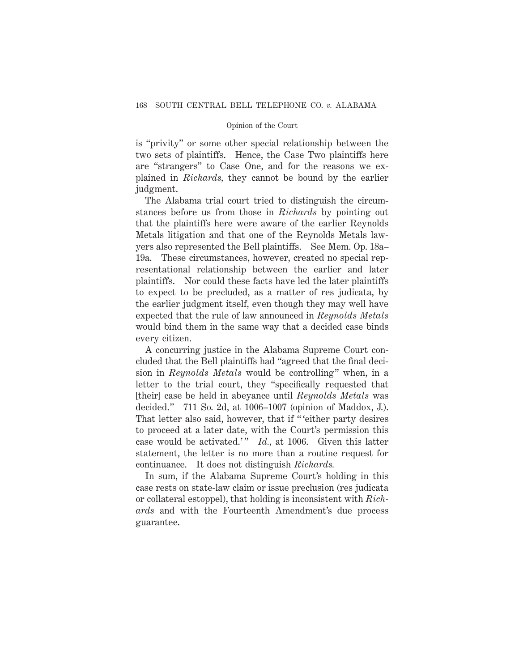is "privity" or some other special relationship between the two sets of plaintiffs. Hence, the Case Two plaintiffs here are "strangers" to Case One, and for the reasons we explained in *Richards,* they cannot be bound by the earlier judgment.

The Alabama trial court tried to distinguish the circumstances before us from those in *Richards* by pointing out that the plaintiffs here were aware of the earlier Reynolds Metals litigation and that one of the Reynolds Metals lawyers also represented the Bell plaintiffs. See Mem. Op. 18a– 19a. These circumstances, however, created no special representational relationship between the earlier and later plaintiffs. Nor could these facts have led the later plaintiffs to expect to be precluded, as a matter of res judicata, by the earlier judgment itself, even though they may well have expected that the rule of law announced in *Reynolds Metals* would bind them in the same way that a decided case binds every citizen.

A concurring justice in the Alabama Supreme Court concluded that the Bell plaintiffs had "agreed that the final decision in *Reynolds Metals* would be controlling" when, in a letter to the trial court, they "specifically requested that [their] case be held in abeyance until *Reynolds Metals* was decided." 711 So. 2d, at 1006–1007 (opinion of Maddox, J.). That letter also said, however, that if " 'either party desires to proceed at a later date, with the Court's permission this case would be activated.'" *Id.*, at 1006. Given this latter statement, the letter is no more than a routine request for continuance. It does not distinguish *Richards.*

In sum, if the Alabama Supreme Court's holding in this case rests on state-law claim or issue preclusion (res judicata or collateral estoppel), that holding is inconsistent with *Richards* and with the Fourteenth Amendment's due process guarantee.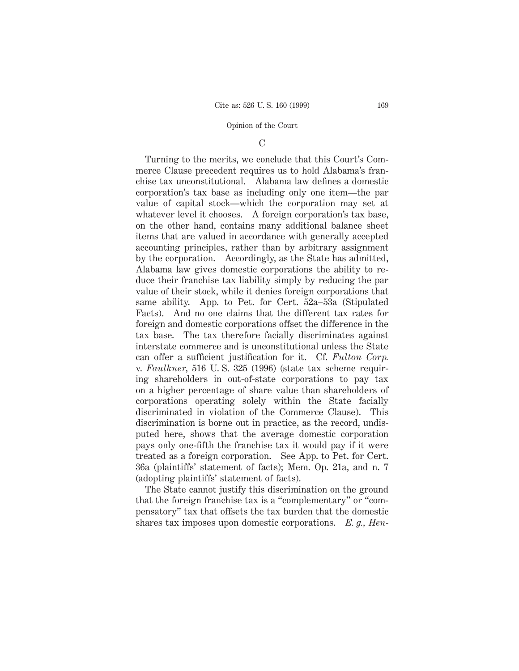# C

Turning to the merits, we conclude that this Court's Commerce Clause precedent requires us to hold Alabama's franchise tax unconstitutional. Alabama law defines a domestic corporation's tax base as including only one item—the par value of capital stock—which the corporation may set at whatever level it chooses. A foreign corporation's tax base, on the other hand, contains many additional balance sheet items that are valued in accordance with generally accepted accounting principles, rather than by arbitrary assignment by the corporation. Accordingly, as the State has admitted, Alabama law gives domestic corporations the ability to reduce their franchise tax liability simply by reducing the par value of their stock, while it denies foreign corporations that same ability. App. to Pet. for Cert. 52a–53a (Stipulated Facts). And no one claims that the different tax rates for foreign and domestic corporations offset the difference in the tax base. The tax therefore facially discriminates against interstate commerce and is unconstitutional unless the State can offer a sufficient justification for it. Cf. *Fulton Corp.* v. *Faulkner,* 516 U. S. 325 (1996) (state tax scheme requiring shareholders in out-of-state corporations to pay tax on a higher percentage of share value than shareholders of corporations operating solely within the State facially discriminated in violation of the Commerce Clause). This discrimination is borne out in practice, as the record, undisputed here, shows that the average domestic corporation pays only one-fifth the franchise tax it would pay if it were treated as a foreign corporation. See App. to Pet. for Cert. 36a (plaintiffs' statement of facts); Mem. Op. 21a, and n. 7 (adopting plaintiffs' statement of facts).

The State cannot justify this discrimination on the ground that the foreign franchise tax is a "complementary" or "compensatory" tax that offsets the tax burden that the domestic shares tax imposes upon domestic corporations. *E. g., Hen-*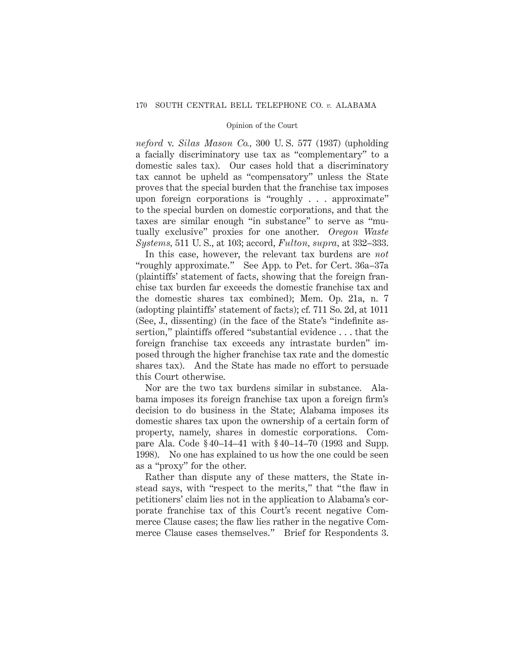*neford* v. *Silas Mason Co.,* 300 U. S. 577 (1937) (upholding a facially discriminatory use tax as "complementary" to a domestic sales tax). Our cases hold that a discriminatory tax cannot be upheld as "compensatory" unless the State proves that the special burden that the franchise tax imposes upon foreign corporations is "roughly . . . approximate" to the special burden on domestic corporations, and that the taxes are similar enough "in substance" to serve as "mutually exclusive" proxies for one another. *Oregon Waste Systems,* 511 U. S., at 103; accord, *Fulton, supra,* at 332–333.

In this case, however, the relevant tax burdens are *not* "roughly approximate." See App. to Pet. for Cert. 36a–37a (plaintiffs' statement of facts, showing that the foreign franchise tax burden far exceeds the domestic franchise tax and the domestic shares tax combined); Mem. Op. 21a, n. 7 (adopting plaintiffs' statement of facts); cf. 711 So. 2d, at 1011 (See, J., dissenting) (in the face of the State's "indefinite assertion," plaintiffs offered "substantial evidence . . . that the foreign franchise tax exceeds any intrastate burden" imposed through the higher franchise tax rate and the domestic shares tax). And the State has made no effort to persuade this Court otherwise.

Nor are the two tax burdens similar in substance. Alabama imposes its foreign franchise tax upon a foreign firm's decision to do business in the State; Alabama imposes its domestic shares tax upon the ownership of a certain form of property, namely, shares in domestic corporations. Compare Ala. Code § 40–14–41 with § 40–14–70 (1993 and Supp. 1998). No one has explained to us how the one could be seen as a "proxy" for the other.

Rather than dispute any of these matters, the State instead says, with "respect to the merits," that "the flaw in petitioners' claim lies not in the application to Alabama's corporate franchise tax of this Court's recent negative Commerce Clause cases; the flaw lies rather in the negative Commerce Clause cases themselves." Brief for Respondents 3.